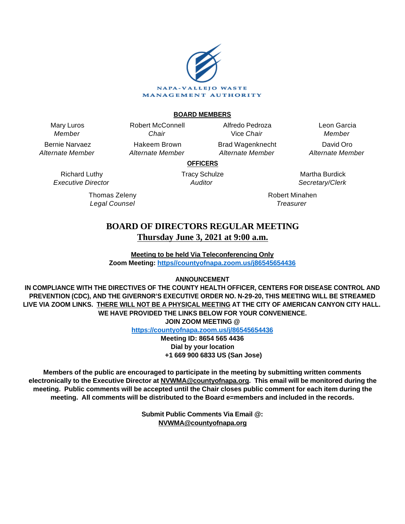

### **BOARD MEMBERS**

Mary Luros Member

Bernie Narvaez Alternate Member

> Richard Luthy Executive Director

Chair Hakeem Brown Alternate Member

Robert McConnell

Alfredo Pedroza Vice Chair Brad Wagenknecht

Alternate Member

Leon Garcia Member David Oro Alternate Member

**OFFICERS** Tracy Schulze

**Auditor** 

Thomas Zeleny Legal Counsel

Martha Burdick Secretary/Clerk

Robert Minahen **Treasurer** 

# **BOARD OF DIRECTORS REGULAR MEETING Thursday June 3, 2021 at 9:00 a.m.**

**Meeting to be held Via Teleconferencing Only Zoom Meeting: [https//countyofnapa.zoom.us/j86545654436](http://intranetprod01/AgendaNet/Reports/https//countyofnapa.zoom.us/j/99111938225)**

**ANNOUNCEMENT**

**IN COMPLIANCE WITH THE DIRECTIVES OF THE COUNTY HEALTH OFFICER, CENTERS FOR DISEASE CONTROL AND PREVENTION (CDC), AND THE GIVERNOR'S EXECUTIVE ORDER NO. N-29-20, THIS MEETING WILL BE STREAMED LIVE VIA ZOOM LINKS. THERE WILL NOT BE A PHYSICAL MEETING AT THE CITY OF AMERICAN CANYON CITY HALL. WE HAVE PROVIDED THE LINKS BELOW FOR YOUR CONVENIENCE. JOIN ZOOM MEETING @**

**<https://countyofnapa.zoom.us/j/86545654436>**

**Meeting ID: 8654 565 4436 Dial by your location +1 669 900 6833 US (San Jose)**

**Members of the public are encouraged to participate in the meeting by submitting written comments electronically to the Executive Director at NVWMA@countyofnapa.org. This email will be monitored during the meeting. Public comments will be accepted until the Chair closes public comment for each item during the meeting. All comments will be distributed to the Board e=members and included in the records.**

> **Submit Public Comments Via Email @: NVWMA@countyofnapa.org**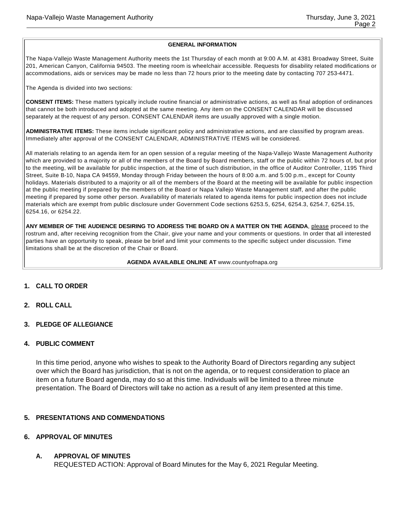#### **GENERAL INFORMATION**

The Napa-Vallejo Waste Management Authority meets the 1st Thursday of each month at 9:00 A.M. at 4381 Broadway Street, Suite 201, American Canyon, California 94503. The meeting room is wheelchair accessible. Requests for disability related modifications or accommodations, aids or services may be made no less than 72 hours prior to the meeting date by contacting 707 253-4471.

The Agenda is divided into two sections:

**CONSENT ITEMS:** These matters typically include routine financial or administrative actions, as well as final adoption of ordinances that cannot be both introduced and adopted at the same meeting. Any item on the CONSENT CALENDAR will be discussed separately at the request of any person. CONSENT CALENDAR items are usually approved with a single motion.

**ADMINISTRATIVE ITEMS:** These items include significant policy and administrative actions, and are classified by program areas. Immediately after approval of the CONSENT CALENDAR, ADMINISTRATIVE ITEMS will be considered.

All materials relating to an agenda item for an open session of a regular meeting of the Napa-Vallejo Waste Management Authority which are provided to a majority or all of the members of the Board by Board members, staff or the public within 72 hours of, but prior to the meeting, will be available for public inspection, at the time of such distribution, in the office of Auditor Controller, 1195 Third Street, Suite B-10, Napa CA 94559, Monday through Friday between the hours of 8:00 a.m. and 5:00 p.m., except for County holidays. Materials distributed to a majority or all of the members of the Board at the meeting will be available for public inspection at the public meeting if prepared by the members of the Board or Napa Vallejo Waste Management staff, and after the public meeting if prepared by some other person. Availability of materials related to agenda items for public inspection does not include materials which are exempt from public disclosure under Government Code sections 6253.5, 6254, 6254.3, 6254.7, 6254.15, 6254.16, or 6254.22.

**ANY MEMBER OF THE AUDIENCE DESIRING TO ADDRESS THE BOARD ON A MATTER ON THE AGENDA**, please proceed to the rostrum and, after receiving recognition from the Chair, give your name and your comments or questions. In order that all interested parties have an opportunity to speak, please be brief and limit your comments to the specific subject under discussion. Time limitations shall be at the discretion of the Chair or Board.

#### **AGENDA AVAILABLE ONLINE AT** www.countyofnapa.org

# **1. CALL TO ORDER**

- **2. ROLL CALL**
- **3. PLEDGE OF ALLEGIANCE**

#### **4. PUBLIC COMMENT**

In this time period, anyone who wishes to speak to the Authority Board of Directors regarding any subject over which the Board has jurisdiction, that is not on the agenda, or to request consideration to place an item on a future Board agenda, may do so at this time. Individuals will be limited to a three minute presentation. The Board of Directors will take no action as a result of any item presented at this time.

#### **5. PRESENTATIONS AND COMMENDATIONS**

#### **6. APPROVAL OF MINUTES**

# **A. APPROVAL OF MINUTES**

REQUESTED ACTION: Approval of Board Minutes for the May 6, 2021 Regular Meeting.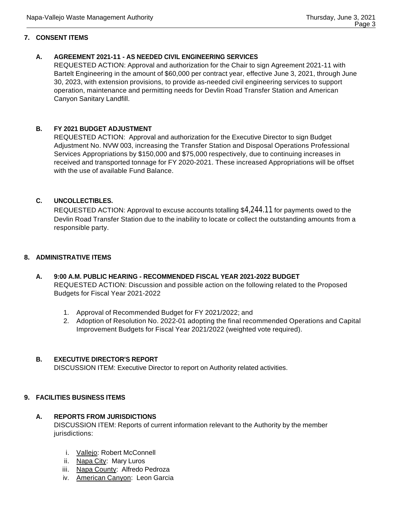### **7. CONSENT ITEMS**

# **A. AGREEMENT 2021-11 - AS NEEDED CIVIL ENGINEERING SERVICES**

REQUESTED ACTION: Approval and authorization for the Chair to sign Agreement 2021-11 with Bartelt Engineering in the amount of \$60,000 per contract year, effective June 3, 2021, through June 30, 2023, with extension provisions, to provide as-needed civil engineering services to support operation, maintenance and permitting needs for Devlin Road Transfer Station and American Canyon Sanitary Landfill.

# **B. FY 2021 BUDGET ADJUSTMENT**

REQUESTED ACTION: Approval and authorization for the Executive Director to sign Budget Adjustment No. NVW 003, increasing the Transfer Station and Disposal Operations Professional Services Appropriations by \$150,000 and \$75,000 respectively, due to continuing increases in received and transported tonnage for FY 2020-2021. These increased Appropriations will be offset with the use of available Fund Balance.

# **C. UNCOLLECTIBLES.**

REQUESTED ACTION: Approval to excuse accounts totalling \$4,244.11 for payments owed to the Devlin Road Transfer Station due to the inability to locate or collect the outstanding amounts from a responsible party.

#### **8. ADMINISTRATIVE ITEMS**

- **A. 9:00 A.M. PUBLIC HEARING RECOMMENDED FISCAL YEAR 2021-2022 BUDGET**  REQUESTED ACTION: Discussion and possible action on the following related to the Proposed Budgets for Fiscal Year 2021-2022
	- 1. Approval of Recommended Budget for FY 2021/2022; and
	- 2. Adoption of Resolution No. 2022-01 adopting the final recommended Operations and Capital Improvement Budgets for Fiscal Year 2021/2022 (weighted vote required).

# **B. EXECUTIVE DIRECTOR'S REPORT**

DISCUSSION ITEM: Executive Director to report on Authority related activities.

# **9. FACILITIES BUSINESS ITEMS**

#### **A. REPORTS FROM JURISDICTIONS**

DISCUSSION ITEM: Reports of current information relevant to the Authority by the member jurisdictions:

- i. Vallejo: Robert McConnell
- ii. Napa City: Mary Luros
- iii. Napa County: Alfredo Pedroza
- iv. American Canyon: Leon Garcia